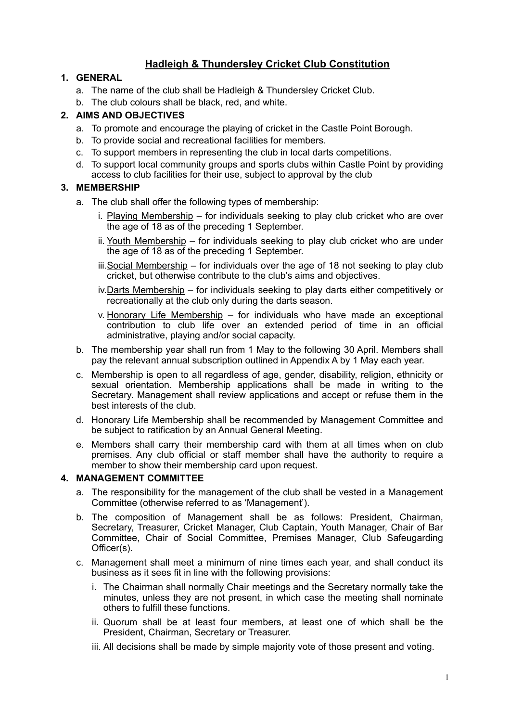# **Hadleigh & Thundersley Cricket Club Constitution**

# **1. GENERAL**

- a. The name of the club shall be Hadleigh & Thundersley Cricket Club.
- b. The club colours shall be black, red, and white.

# **2. AIMS AND OBJECTIVES**

- a. To promote and encourage the playing of cricket in the Castle Point Borough.
- b. To provide social and recreational facilities for members.
- c. To support members in representing the club in local darts competitions.
- d. To support local community groups and sports clubs within Castle Point by providing access to club facilities for their use, subject to approval by the club

# **3. MEMBERSHIP**

- a. The club shall offer the following types of membership:
	- i. Playing Membership for individuals seeking to play club cricket who are over the age of 18 as of the preceding 1 September.
	- ii. Youth Membership for individuals seeking to play club cricket who are under the age of 18 as of the preceding 1 September.
	- iii.Social Membership for individuals over the age of 18 not seeking to play club cricket, but otherwise contribute to the club's aims and objectives.
	- iv.Darts Membership for individuals seeking to play darts either competitively or recreationally at the club only during the darts season.
	- v. Honorary Life Membership for individuals who have made an exceptional contribution to club life over an extended period of time in an official administrative, playing and/or social capacity.
- b. The membership year shall run from 1 May to the following 30 April. Members shall pay the relevant annual subscription outlined in Appendix A by 1 May each year.
- c. Membership is open to all regardless of age, gender, disability, religion, ethnicity or sexual orientation. Membership applications shall be made in writing to the Secretary. Management shall review applications and accept or refuse them in the best interests of the club.
- d. Honorary Life Membership shall be recommended by Management Committee and be subject to ratification by an Annual General Meeting.
- e. Members shall carry their membership card with them at all times when on club premises. Any club official or staff member shall have the authority to require a member to show their membership card upon request.

## **4. MANAGEMENT COMMITTEE**

- a. The responsibility for the management of the club shall be vested in a Management Committee (otherwise referred to as 'Management').
- b. The composition of Management shall be as follows: President, Chairman, Secretary, Treasurer, Cricket Manager, Club Captain, Youth Manager, Chair of Bar Committee, Chair of Social Committee, Premises Manager, Club Safeugarding Officer(s).
- c. Management shall meet a minimum of nine times each year, and shall conduct its business as it sees fit in line with the following provisions:
	- i. The Chairman shall normally Chair meetings and the Secretary normally take the minutes, unless they are not present, in which case the meeting shall nominate others to fulfill these functions.
	- ii. Quorum shall be at least four members, at least one of which shall be the President, Chairman, Secretary or Treasurer.
	- iii. All decisions shall be made by simple majority vote of those present and voting.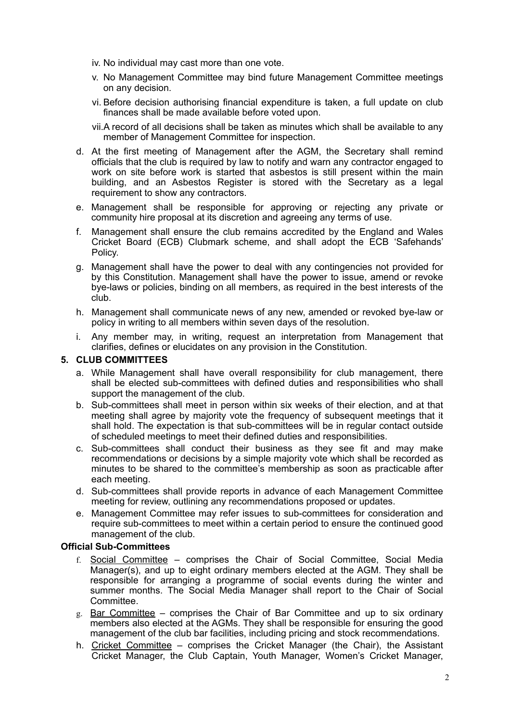- iv. No individual may cast more than one vote.
- v. No Management Committee may bind future Management Committee meetings on any decision.
- vi. Before decision authorising financial expenditure is taken, a full update on club finances shall be made available before voted upon.
- vii.A record of all decisions shall be taken as minutes which shall be available to any member of Management Committee for inspection.
- d. At the first meeting of Management after the AGM, the Secretary shall remind officials that the club is required by law to notify and warn any contractor engaged to work on site before work is started that asbestos is still present within the main building, and an Asbestos Register is stored with the Secretary as a legal requirement to show any contractors.
- e. Management shall be responsible for approving or rejecting any private or community hire proposal at its discretion and agreeing any terms of use.
- f. Management shall ensure the club remains accredited by the England and Wales Cricket Board (ECB) Clubmark scheme, and shall adopt the ECB 'Safehands' Policy.
- g. Management shall have the power to deal with any contingencies not provided for by this Constitution. Management shall have the power to issue, amend or revoke bye-laws or policies, binding on all members, as required in the best interests of the club.
- h. Management shall communicate news of any new, amended or revoked bye-law or policy in writing to all members within seven days of the resolution.
- i. Any member may, in writing, request an interpretation from Management that clarifies, defines or elucidates on any provision in the Constitution.

### **5. CLUB COMMITTEES**

- a. While Management shall have overall responsibility for club management, there shall be elected sub-committees with defined duties and responsibilities who shall support the management of the club.
- b. Sub-committees shall meet in person within six weeks of their election, and at that meeting shall agree by majority vote the frequency of subsequent meetings that it shall hold. The expectation is that sub-committees will be in regular contact outside of scheduled meetings to meet their defined duties and responsibilities.
- c. Sub-committees shall conduct their business as they see fit and may make recommendations or decisions by a simple majority vote which shall be recorded as minutes to be shared to the committee's membership as soon as practicable after each meeting.
- d. Sub-committees shall provide reports in advance of each Management Committee meeting for review, outlining any recommendations proposed or updates.
- e. Management Committee may refer issues to sub-committees for consideration and require sub-committees to meet within a certain period to ensure the continued good management of the club.

#### **Official Sub-Committees**

- f. Social Committee comprises the Chair of Social Committee, Social Media Manager(s), and up to eight ordinary members elected at the AGM. They shall be responsible for arranging a programme of social events during the winter and summer months. The Social Media Manager shall report to the Chair of Social Committee.
- g. Bar Committee comprises the Chair of Bar Committee and up to six ordinary members also elected at the AGMs. They shall be responsible for ensuring the good management of the club bar facilities, including pricing and stock recommendations.
- h. Cricket Committee comprises the Cricket Manager (the Chair), the Assistant Cricket Manager, the Club Captain, Youth Manager, Women's Cricket Manager,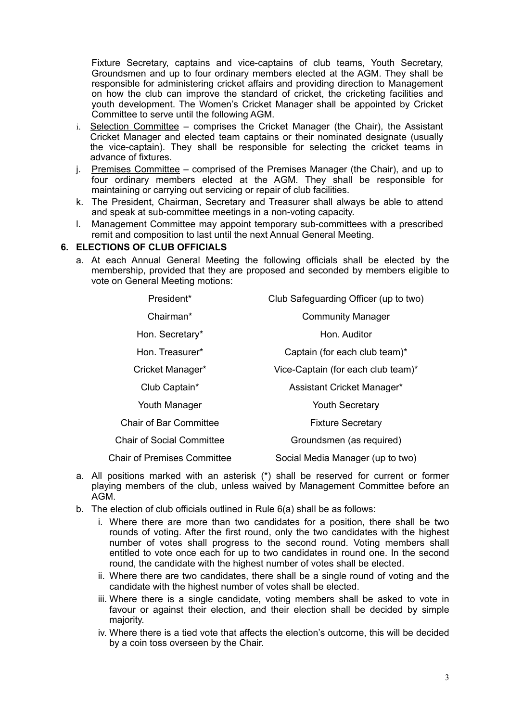Fixture Secretary, captains and vice-captains of club teams, Youth Secretary, Groundsmen and up to four ordinary members elected at the AGM. They shall be responsible for administering cricket affairs and providing direction to Management on how the club can improve the standard of cricket, the cricketing facilities and youth development. The Women's Cricket Manager shall be appointed by Cricket Committee to serve until the following AGM.

- i. Selection Committee comprises the Cricket Manager (the Chair), the Assistant Cricket Manager and elected team captains or their nominated designate (usually the vice-captain). They shall be responsible for selecting the cricket teams in advance of fixtures.
- j. Premises Committee comprised of the Premises Manager (the Chair), and up to four ordinary members elected at the AGM. They shall be responsible for maintaining or carrying out servicing or repair of club facilities.
- k. The President, Chairman, Secretary and Treasurer shall always be able to attend and speak at sub-committee meetings in a non-voting capacity.
- l. Management Committee may appoint temporary sub-committees with a prescribed remit and composition to last until the next Annual General Meeting.

#### **6. ELECTIONS OF CLUB OFFICIALS**

a. At each Annual General Meeting the following officials shall be elected by the membership, provided that they are proposed and seconded by members eligible to vote on General Meeting motions:

| President*                         | Club Safeguarding Officer (up to two) |
|------------------------------------|---------------------------------------|
| Chairman*                          | <b>Community Manager</b>              |
| Hon. Secretary*                    | Hon. Auditor                          |
| Hon. Treasurer*                    | Captain (for each club team)*         |
| Cricket Manager*                   | Vice-Captain (for each club team)*    |
| Club Captain*                      | Assistant Cricket Manager*            |
| Youth Manager                      | <b>Youth Secretary</b>                |
| <b>Chair of Bar Committee</b>      | <b>Fixture Secretary</b>              |
| <b>Chair of Social Committee</b>   | Groundsmen (as required)              |
| <b>Chair of Premises Committee</b> | Social Media Manager (up to two)      |

- a. All positions marked with an asterisk (\*) shall be reserved for current or former playing members of the club, unless waived by Management Committee before an AGM.
- b. The election of club officials outlined in Rule 6(a) shall be as follows:
	- i. Where there are more than two candidates for a position, there shall be two rounds of voting. After the first round, only the two candidates with the highest number of votes shall progress to the second round. Voting members shall entitled to vote once each for up to two candidates in round one. In the second round, the candidate with the highest number of votes shall be elected.
	- ii. Where there are two candidates, there shall be a single round of voting and the candidate with the highest number of votes shall be elected.
	- iii. Where there is a single candidate, voting members shall be asked to vote in favour or against their election, and their election shall be decided by simple majority.
	- iv. Where there is a tied vote that affects the election's outcome, this will be decided by a coin toss overseen by the Chair.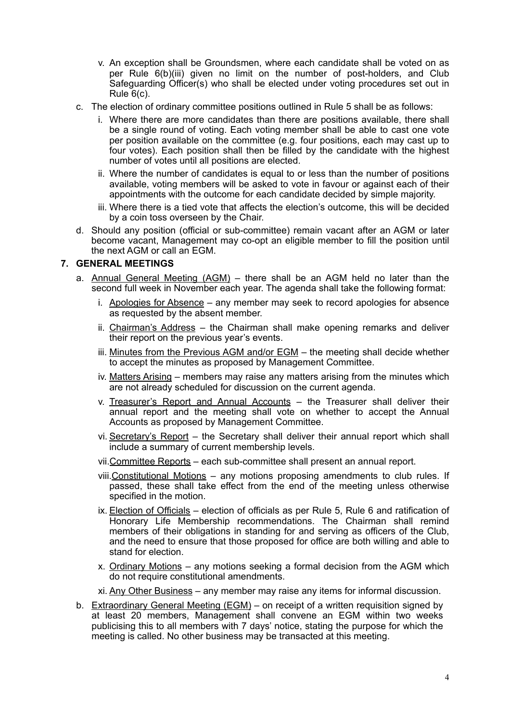- v. An exception shall be Groundsmen, where each candidate shall be voted on as per Rule 6(b)(iii) given no limit on the number of post-holders, and Club Safeguarding Officer(s) who shall be elected under voting procedures set out in Rule 6(c).
- c. The election of ordinary committee positions outlined in Rule 5 shall be as follows:
	- i. Where there are more candidates than there are positions available, there shall be a single round of voting. Each voting member shall be able to cast one vote per position available on the committee (e.g. four positions, each may cast up to four votes). Each position shall then be filled by the candidate with the highest number of votes until all positions are elected.
	- ii. Where the number of candidates is equal to or less than the number of positions available, voting members will be asked to vote in favour or against each of their appointments with the outcome for each candidate decided by simple majority.
	- iii. Where there is a tied vote that affects the election's outcome, this will be decided by a coin toss overseen by the Chair.
- d. Should any position (official or sub-committee) remain vacant after an AGM or later become vacant, Management may co-opt an eligible member to fill the position until the next AGM or call an EGM.

## **7. GENERAL MEETINGS**

- a. Annual General Meeting (AGM) there shall be an AGM held no later than the second full week in November each year. The agenda shall take the following format:
	- i. Apologies for Absence any member may seek to record apologies for absence as requested by the absent member.
	- ii. Chairman's Address the Chairman shall make opening remarks and deliver their report on the previous year's events.
	- iii. Minutes from the Previous AGM and/or EGM the meeting shall decide whether to accept the minutes as proposed by Management Committee.
	- iv. Matters Arising members may raise any matters arising from the minutes which are not already scheduled for discussion on the current agenda.
	- v. Treasurer's Report and Annual Accounts the Treasurer shall deliver their annual report and the meeting shall vote on whether to accept the Annual Accounts as proposed by Management Committee.
	- vi. Secretary's Report the Secretary shall deliver their annual report which shall include a summary of current membership levels.
	- vii.Committee Reports each sub-committee shall present an annual report.
	- viii. Constitutional Motions any motions proposing amendments to club rules. If passed, these shall take effect from the end of the meeting unless otherwise specified in the motion.
	- ix. Election of Officials election of officials as per Rule 5, Rule 6 and ratification of Honorary Life Membership recommendations. The Chairman shall remind members of their obligations in standing for and serving as officers of the Club, and the need to ensure that those proposed for office are both willing and able to stand for election.
	- x. Ordinary Motions any motions seeking a formal decision from the AGM which do not require constitutional amendments.
	- xi. Any Other Business any member may raise any items for informal discussion.
- b. Extraordinary General Meeting (EGM) on receipt of a written requisition signed by at least 20 members, Management shall convene an EGM within two weeks publicising this to all members with 7 days' notice, stating the purpose for which the meeting is called. No other business may be transacted at this meeting.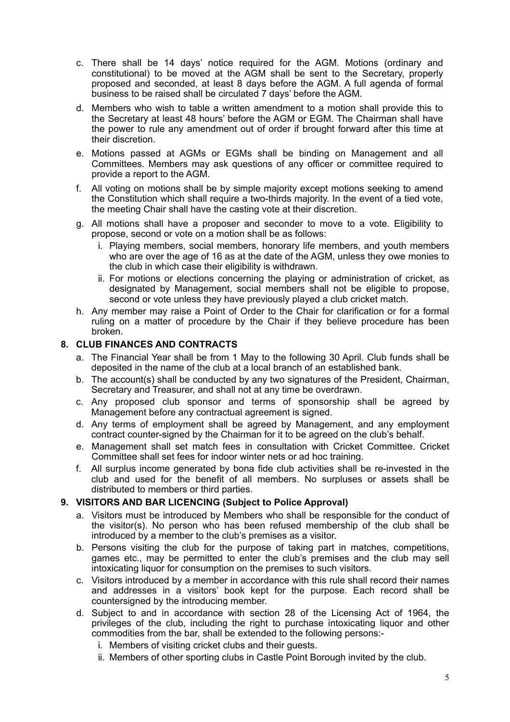- c. There shall be 14 days' notice required for the AGM. Motions (ordinary and constitutional) to be moved at the AGM shall be sent to the Secretary, properly proposed and seconded, at least 8 days before the AGM. A full agenda of formal business to be raised shall be circulated 7 days' before the AGM.
- d. Members who wish to table a written amendment to a motion shall provide this to the Secretary at least 48 hours' before the AGM or EGM. The Chairman shall have the power to rule any amendment out of order if brought forward after this time at their discretion.
- e. Motions passed at AGMs or EGMs shall be binding on Management and all Committees. Members may ask questions of any officer or committee required to provide a report to the AGM.
- f. All voting on motions shall be by simple majority except motions seeking to amend the Constitution which shall require a two-thirds majority. In the event of a tied vote, the meeting Chair shall have the casting vote at their discretion.
- g. All motions shall have a proposer and seconder to move to a vote. Eligibility to propose, second or vote on a motion shall be as follows:
	- i. Playing members, social members, honorary life members, and youth members who are over the age of 16 as at the date of the AGM, unless they owe monies to the club in which case their eligibility is withdrawn.
	- ii. For motions or elections concerning the playing or administration of cricket, as designated by Management, social members shall not be eligible to propose, second or vote unless they have previously played a club cricket match.
- h. Any member may raise a Point of Order to the Chair for clarification or for a formal ruling on a matter of procedure by the Chair if they believe procedure has been broken.

# **8. CLUB FINANCES AND CONTRACTS**

- a. The Financial Year shall be from 1 May to the following 30 April. Club funds shall be deposited in the name of the club at a local branch of an established bank.
- b. The account(s) shall be conducted by any two signatures of the President, Chairman, Secretary and Treasurer, and shall not at any time be overdrawn.
- c. Any proposed club sponsor and terms of sponsorship shall be agreed by Management before any contractual agreement is signed.
- d. Any terms of employment shall be agreed by Management, and any employment contract counter-signed by the Chairman for it to be agreed on the club's behalf.
- e. Management shall set match fees in consultation with Cricket Committee. Cricket Committee shall set fees for indoor winter nets or ad hoc training.
- f. All surplus income generated by bona fide club activities shall be re-invested in the club and used for the benefit of all members. No surpluses or assets shall be distributed to members or third parties.

# **9. VISITORS AND BAR LICENCING (Subject to Police Approval)**

- a. Visitors must be introduced by Members who shall be responsible for the conduct of the visitor(s). No person who has been refused membership of the club shall be introduced by a member to the club's premises as a visitor.
- b. Persons visiting the club for the purpose of taking part in matches, competitions, games etc., may be permitted to enter the club's premises and the club may sell intoxicating liquor for consumption on the premises to such visitors.
- c. Visitors introduced by a member in accordance with this rule shall record their names and addresses in a visitors' book kept for the purpose. Each record shall be countersigned by the introducing member.
- d. Subject to and in accordance with section 28 of the Licensing Act of 1964, the privileges of the club, including the right to purchase intoxicating liquor and other commodities from the bar, shall be extended to the following persons:
	- i. Members of visiting cricket clubs and their guests.
	- ii. Members of other sporting clubs in Castle Point Borough invited by the club.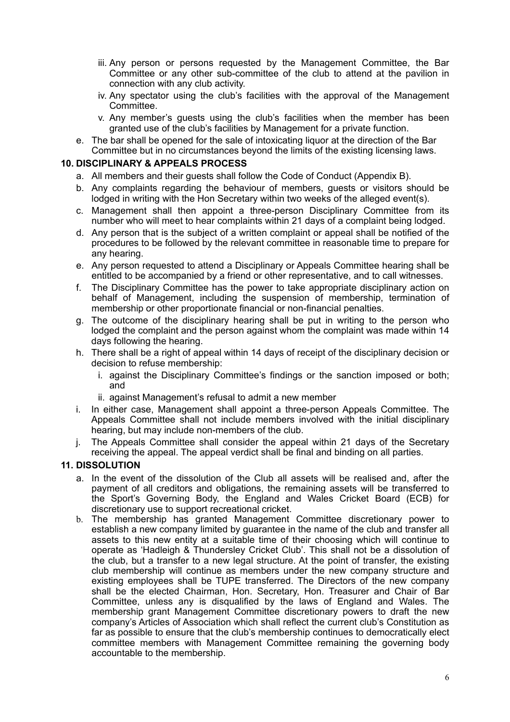- iii. Any person or persons requested by the Management Committee, the Bar Committee or any other sub-committee of the club to attend at the pavilion in connection with any club activity.
- iv. Any spectator using the club's facilities with the approval of the Management Committee.
- v. Any member's guests using the club's facilities when the member has been granted use of the club's facilities by Management for a private function.
- e. The bar shall be opened for the sale of intoxicating liquor at the direction of the Bar Committee but in no circumstances beyond the limits of the existing licensing laws.

### **10. DISCIPLINARY & APPEALS PROCESS**

- a. All members and their guests shall follow the Code of Conduct (Appendix B).
- b. Any complaints regarding the behaviour of members, guests or visitors should be lodged in writing with the Hon Secretary within two weeks of the alleged event(s).
- c. Management shall then appoint a three-person Disciplinary Committee from its number who will meet to hear complaints within 21 days of a complaint being lodged.
- d. Any person that is the subject of a written complaint or appeal shall be notified of the procedures to be followed by the relevant committee in reasonable time to prepare for any hearing.
- e. Any person requested to attend a Disciplinary or Appeals Committee hearing shall be entitled to be accompanied by a friend or other representative, and to call witnesses.
- f. The Disciplinary Committee has the power to take appropriate disciplinary action on behalf of Management, including the suspension of membership, termination of membership or other proportionate financial or non-financial penalties.
- g. The outcome of the disciplinary hearing shall be put in writing to the person who lodged the complaint and the person against whom the complaint was made within 14 days following the hearing.
- h. There shall be a right of appeal within 14 days of receipt of the disciplinary decision or decision to refuse membership:
	- i. against the Disciplinary Committee's findings or the sanction imposed or both; and
	- ii. against Management's refusal to admit a new member
- i. In either case, Management shall appoint a three-person Appeals Committee. The Appeals Committee shall not include members involved with the initial disciplinary hearing, but may include non-members of the club.
- j. The Appeals Committee shall consider the appeal within 21 days of the Secretary receiving the appeal. The appeal verdict shall be final and binding on all parties.

## **11. DISSOLUTION**

- a. In the event of the dissolution of the Club all assets will be realised and, after the payment of all creditors and obligations, the remaining assets will be transferred to the Sport's Governing Body, the England and Wales Cricket Board (ECB) for discretionary use to support recreational cricket.
- b. The membership has granted Management Committee discretionary power to establish a new company limited by guarantee in the name of the club and transfer all assets to this new entity at a suitable time of their choosing which will continue to operate as 'Hadleigh & Thundersley Cricket Club'. This shall not be a dissolution of the club, but a transfer to a new legal structure. At the point of transfer, the existing club membership will continue as members under the new company structure and existing employees shall be TUPE transferred. The Directors of the new company shall be the elected Chairman, Hon. Secretary, Hon. Treasurer and Chair of Bar Committee, unless any is disqualified by the laws of England and Wales. The membership grant Management Committee discretionary powers to draft the new company's Articles of Association which shall reflect the current club's Constitution as far as possible to ensure that the club's membership continues to democratically elect committee members with Management Committee remaining the governing body accountable to the membership.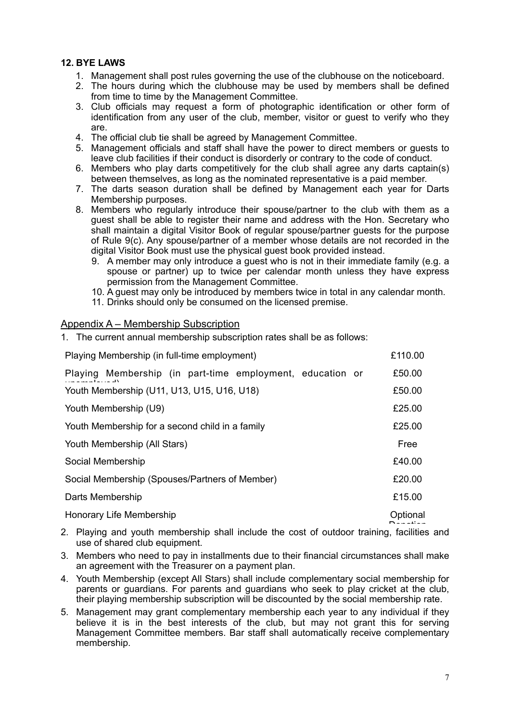# **12. BYE LAWS**

- 1. Management shall post rules governing the use of the clubhouse on the noticeboard.
- 2. The hours during which the clubhouse may be used by members shall be defined from time to time by the Management Committee.
- 3. Club officials may request a form of photographic identification or other form of identification from any user of the club, member, visitor or guest to verify who they are.
- 4. The official club tie shall be agreed by Management Committee.
- 5. Management officials and staff shall have the power to direct members or guests to leave club facilities if their conduct is disorderly or contrary to the code of conduct.
- 6. Members who play darts competitively for the club shall agree any darts captain(s) between themselves, as long as the nominated representative is a paid member.
- 7. The darts season duration shall be defined by Management each year for Darts Membership purposes.
- 8. Members who regularly introduce their spouse/partner to the club with them as a guest shall be able to register their name and address with the Hon. Secretary who shall maintain a digital Visitor Book of regular spouse/partner guests for the purpose of Rule 9(c). Any spouse/partner of a member whose details are not recorded in the digital Visitor Book must use the physical guest book provided instead.
	- 9. A member may only introduce a guest who is not in their immediate family (e.g. a spouse or partner) up to twice per calendar month unless they have express permission from the Management Committee.
	- 10. A guest may only be introduced by members twice in total in any calendar month.
	- 11. Drinks should only be consumed on the licensed premise.

#### Appendix A – Membership Subscription

| Playing Membership (in full-time employment)              |          |
|-----------------------------------------------------------|----------|
| Playing Membership (in part-time employment, education or | £50.00   |
| Youth Membership (U11, U13, U15, U16, U18)                |          |
| Youth Membership (U9)                                     |          |
| Youth Membership for a second child in a family           |          |
| Youth Membership (All Stars)                              |          |
| Social Membership                                         | £40.00   |
| Social Membership (Spouses/Partners of Member)            |          |
| Darts Membership                                          | £15.00   |
| Honorary Life Membership                                  | Optional |

- 2. Playing and youth membership shall include the cost of outdoor training, facilities and use of shared club equipment. Donation
- 3. Members who need to pay in installments due to their financial circumstances shall make an agreement with the Treasurer on a payment plan.
- 4. Youth Membership (except All Stars) shall include complementary social membership for parents or guardians. For parents and guardians who seek to play cricket at the club, their playing membership subscription will be discounted by the social membership rate.
- 5. Management may grant complementary membership each year to any individual if they believe it is in the best interests of the club, but may not grant this for serving Management Committee members. Bar staff shall automatically receive complementary membership.